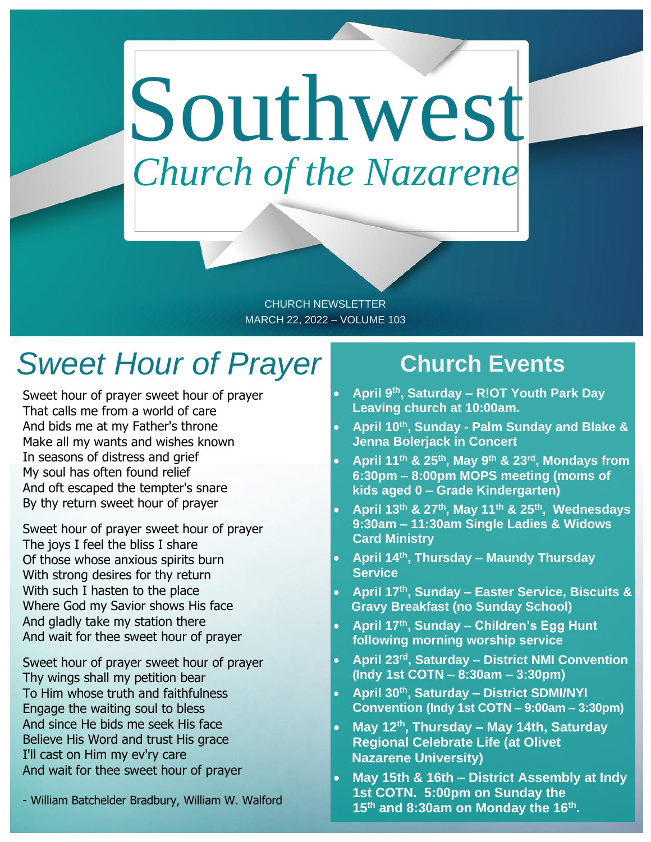# Southwest *Church of the Nazarene*

CHURCH NEWSLETTER MARCH 22, 2022 – VOLUME 103

### *Sweet Hour of Prayer*

Sweet hour of prayer sweet hour of prayer That calls me from a world of care And bids me at my Father's throne Make all my wants and wishes known In seasons of distress and grief My soul has often found relief And oft escaped the tempter's snare By thy return sweet hour of prayer

Sweet hour of prayer sweet hour of prayer The joys I feel the bliss I share Of those whose anxious spirits burn With strong desires for thy return With such I hasten to the place Where God my Savior shows His face And gladly take my station there And wait for thee sweet hour of prayer

Sweet hour of prayer sweet hour of prayer Thy wings shall my petition bear To Him whose truth and faithfulness Engage the waiting soul to bless And since He bids me seek His face Believe His Word and trust His grace I'll cast on Him my ev'ry care And wait for thee sweet hour of prayer

#### - William Batchelder Bradbury, William W. Walford

### **Church Events**

- **April 9th, Saturday – R!OT Youth Park Day Leaving church at 10:00am.**
- **April 10th, Sunday - Palm Sunday and Blake & Jenna Bolerjack in Concert**
- **April 11th & 25th, May 9th & 23rd, Mondays from 6:30pm – 8:00pm MOPS meeting (moms of kids aged 0 – Grade Kindergarten)**
- **April 13th & 27th, May 11th & 25th , Wednesdays 9:30am – 11:30am Single Ladies & Widows Card Ministry**
- **April 14th, Thursday – Maundy Thursday Service**
- **April 17th , Sunday – Easter Service, Biscuits & Gravy Breakfast (no Sunday School)**
- **April 17th, Sunday – Children's Egg Hunt following morning worship service**
- **April 23rd, Saturday – District NMI Convention (Indy 1st COTN – 8:30am – 3:30pm)**
- **April 30th, Saturday – District SDMI/NYI Convention (Indy 1st COTN – 9:00am – 3:30pm)**
- **May 12th, Thursday – May 14th, Saturday Regional Celebrate Life (at Olivet Nazarene University)**
- **May 15th & 16th – District Assembly at Indy 1st COTN. 5:00pm on Sunday the 15th and 8:30am on Monday the 16th .**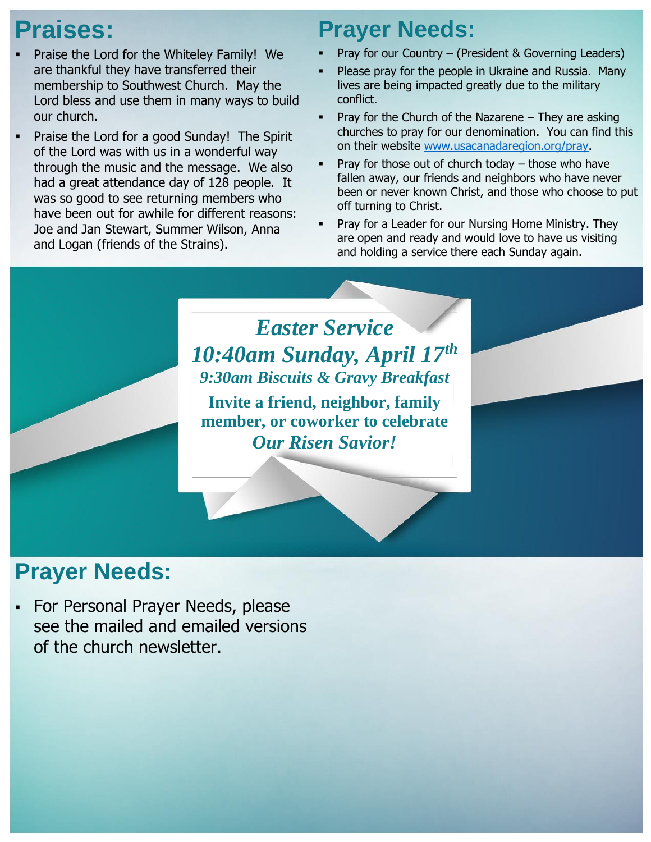### **Praises:**

- Praise the Lord for the Whiteley Family! We are thankful they have transferred their membership to Southwest Church. May the Lord bless and use them in many ways to build our church.
- Praise the Lord for a good Sunday! The Spirit of the Lord was with us in a wonderful way through the music and the message. We also had a great attendance day of 128 people. It was so good to see returning members who have been out for awhile for different reasons: Joe and Jan Stewart, Summer Wilson, Anna and Logan (friends of the Strains).

### **Prayer Needs:**

- Pray for our Country (President & Governing Leaders)
- Please pray for the people in Ukraine and Russia. Many lives are being impacted greatly due to the military conflict.
- Pray for the Church of the Nazarene  $-$  They are asking churches to pray for our denomination. You can find this on their website [www.usacanadaregion.org/pray.](http://www.usacanadaregion.org/pray)
- Pray for those out of church today  $-$  those who have fallen away, our friends and neighbors who have never been or never known Christ, and those who choose to put off turning to Christ.
- Pray for a Leader for our Nursing Home Ministry. They are open and ready and would love to have us visiting and holding a service there each Sunday again.

### *Easter Service 10:40am Sunday, April 17th 9:30am Biscuits & Gravy Breakfast*

**Invite a friend, neighbor, family member, or coworker to celebrate**  *Our Risen Savior!*

### **Prayer Needs:**

▪ For Personal Prayer Needs, please see the mailed and emailed versions of the church newsletter.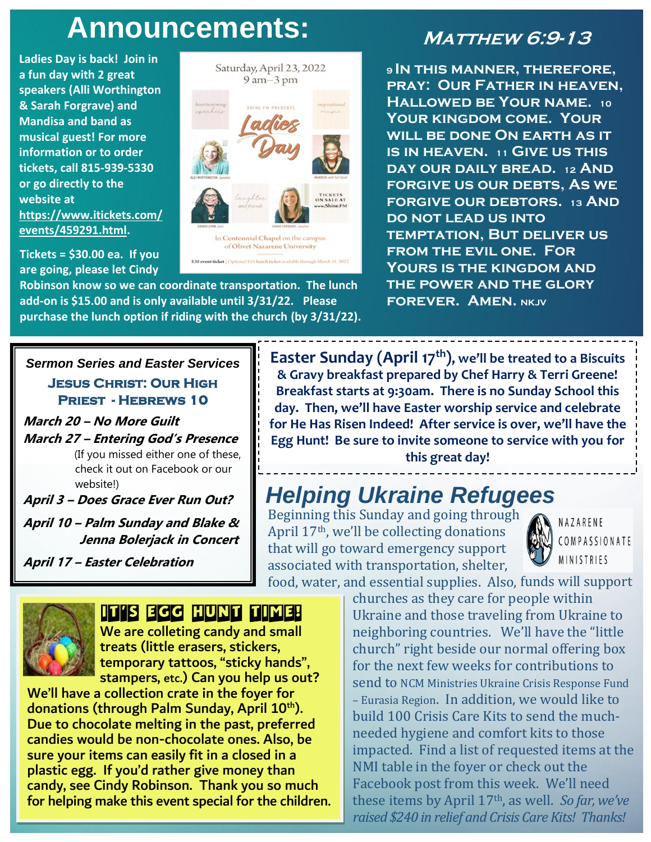### Announcements: MATTHEW 6:9-13

Saturday, April 23, 2022  $9$  am $-3$  pm

In Centennial Chapel on the campu of Olivet Nazarene University

\$30 event ticket | Optional \$15 lunch ticket available the

**Ladies Day is back! Join in a fun day with 2 great speakers (Alli Worthington & Sarah Forgrave) and Mandisa and band as musical guest! For more information or to order tickets, call 815-939-5330 or go directly to the website at https://www.itickets.com/ events/459291.html.**

**Tickets = \$30.00 ea. If you are going, please let Cindy** 

**Robinson know so we can coordinate transportation. The lunch add-on is \$15.00 and is only available until 3/31/22. Please purchase the lunch option if riding with the church (by 3/31/22).** 

**<sup>9</sup>In this manner, therefore, pray: Our Father in heaven, Hallowed be Your name. <sup>10</sup> Your kingdom come. Your will be done On earth as it is in heaven. <sup>11</sup> Give us this day our daily bread. <sup>12</sup> And forgive us our debts, As we forgive our debtors. <sup>13</sup> And do not lead us into temptation, But deliver us from the evil one. For Yours is the kingdom and the power and the glory FOREVER. AMEN. NKJV** 

#### *Sermon Series and Easter Services*  **Jesus Christ: Our High Priest - Hebrews 10**

**March 20 – No More Guilt March 27 – Entering God's Presence** (If you missed either one of these, check it out on Facebook or our website!)

**April 3 – Does Grace Ever Run Out?**

**April 10 – Palm Sunday and Blake & Jenna Bolerjack in Concert**

**April 17 – Easter Celebration**

NAZARENE

**MINISTRIES** 

j

### IT'S EGG HUNT TIME!

 We are colleting candy and small **treats (little erasers, stickers,**  temporary tattoos, "sticky hands", stampers, etc.) Can you help us out?

We'll have a collection crate in the foyer for donations (through Palm Sunday, April 10<sup>th</sup>). Due to chocolate melting in the past, preferred candies would be non-chocolate ones. Also, be sure your items can easily fit in a closed in a plastic egg. If you'd rather give money than candy, see Cindy Robinson. Thank you so much for helping make this event special for the children.

**Easter Sunday (April 17th), we'll be treated to a Biscuits & Gravy breakfast prepared by Chef Harry & Terri Greene! Breakfast starts at 9:30am. There is no Sunday School this day. Then, we'll have Easter worship service and celebrate for He Has Risen Indeed! After service is over, we'll have the Egg Hunt! Be sure to invite someone to service with you for this great day!**

### *Helping Ukraine Refugees*

food, water, and essential supplies. Also, funds will support Beginning this Sunday and going through April 17th, we'll be collecting donations that will go toward emergency support associated with transportation, shelter,



COMPASSIONATE

churches as they care for people within Ukraine and those traveling from Ukraine to **small example 1** neighboring countries. We'll have the "little" church" right beside our normal offering box for the next few weeks for contributions to send to NCM Ministries Ukraine Crisis Response Fund – Eurasia Region. In addition, we would like to build 100 Crisis Care Kits to send the muchneeded hygiene and comfort kits to those impacted. Find a list of requested items at the NMI table in the foyer or check out the Facebook post from this week. We'll need these items by April 17th, as well. *So far, we've raised \$240 in relief and Crisis Care Kits! Thanks!*